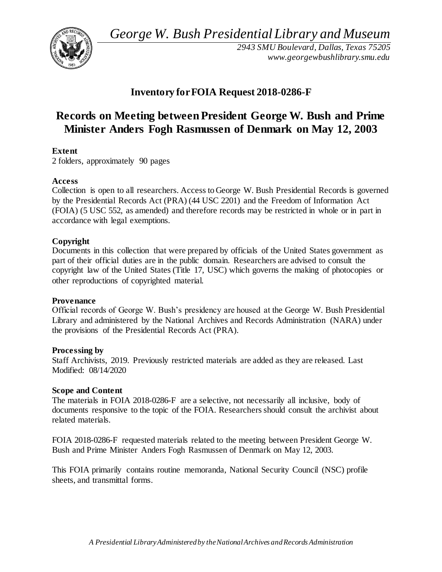*George W. Bush Presidential Library and Museum* 



*2943 SMU Boulevard, Dallas, Texas 75205 <www.georgewbushlibrary.smu.edu>*

# **Inventory forFOIA Request 2018-0286-F**

# **Records on Meeting between President George W. Bush and Prime Minister Anders Fogh Rasmussen of Denmark on May 12, 2003**

# **Extent**

2 folders, approximately 90 pages

# **Access**

 Collection is open to all researchers. Access to George W. Bush Presidential Records is governed by the Presidential Records Act (PRA) (44 USC 2201) and the Freedom of Information Act (FOIA) (5 USC 552, as amended) and therefore records may be restricted in whole or in part in accordance with legal exemptions.

# **Copyright**

 Documents in this collection that were prepared by officials of the United States government as part of their official duties are in the public domain. Researchers are advised to consult the copyright law of the United States (Title 17, USC) which governs the making of photocopies or other reproductions of copyrighted material.

#### **Provenance**

 Official records of George W. Bush's presidency are housed at the George W. Bush Presidential Library and administered by the National Archives and Records Administration (NARA) under the provisions of the Presidential Records Act (PRA).

#### **Processing by**

 Staff Archivists, 2019. Previously restricted materials are added as they are released. Last Modified: 08/14/2020

#### **Scope and Content**

 The materials in FOIA 2018-0286-F are a selective, not necessarily all inclusive, body of documents responsive to the topic of the FOIA. Researchers should consult the archivist about related materials.

 FOIA 2018-0286-F requested materials related to the meeting between President George W. Bush and Prime Minister Anders Fogh Rasmussen of Denmark on May 12, 2003.

 This FOIA primarily contains routine memoranda, National Security Council (NSC) profile sheets, and transmittal forms.